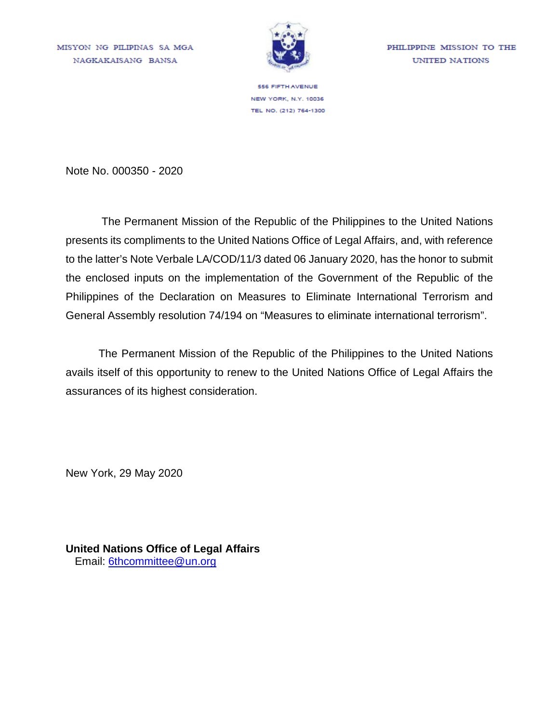MISYON NG PILIPINAS SA MGA NAGKAKAISANG BANSA



PHILIPPINE MISSION TO THE UNITED NATIONS

**556 FIFTH AVENUE** NEW YORK, N.Y. 10036 TEL NO. (212) 764-1300

Note No. 000350 - 2020

The Permanent Mission of the Republic of the Philippines to the United Nations presents its compliments to the United Nations Office of Legal Affairs, and, with reference to the latter's Note Verbale LA/COD/11/3 dated 06 January 2020, has the honor to submit the enclosed inputs on the implementation of the Government of the Republic of the Philippines of the Declaration on Measures to Eliminate International Terrorism and General Assembly resolution 74/194 on "Measures to eliminate international terrorism".

The Permanent Mission of the Republic of the Philippines to the United Nations avails itself of this opportunity to renew to the United Nations Office of Legal Affairs the assurances of its highest consideration.

New York, 29 May 2020

**United Nations Office of Legal Affairs** Email: 6thcommittee@un.org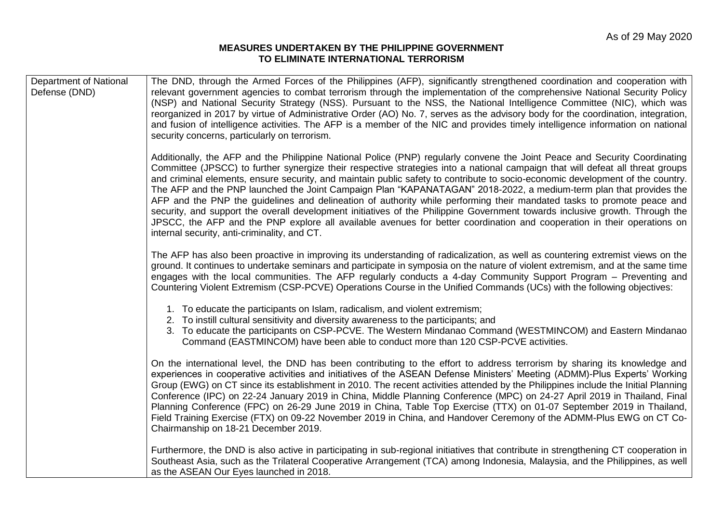### **MEASURES UNDERTAKEN BY THE PHILIPPINE GOVERNMENT TO ELIMINATE INTERNATIONAL TERRORISM**

| <b>Department of National</b><br>Defense (DND) | The DND, through the Armed Forces of the Philippines (AFP), significantly strengthened coordination and cooperation with<br>relevant government agencies to combat terrorism through the implementation of the comprehensive National Security Policy<br>(NSP) and National Security Strategy (NSS). Pursuant to the NSS, the National Intelligence Committee (NIC), which was<br>reorganized in 2017 by virtue of Administrative Order (AO) No. 7, serves as the advisory body for the coordination, integration,<br>and fusion of intelligence activities. The AFP is a member of the NIC and provides timely intelligence information on national<br>security concerns, particularly on terrorism.                                                                                                                                                                                                                                                     |
|------------------------------------------------|-----------------------------------------------------------------------------------------------------------------------------------------------------------------------------------------------------------------------------------------------------------------------------------------------------------------------------------------------------------------------------------------------------------------------------------------------------------------------------------------------------------------------------------------------------------------------------------------------------------------------------------------------------------------------------------------------------------------------------------------------------------------------------------------------------------------------------------------------------------------------------------------------------------------------------------------------------------|
|                                                | Additionally, the AFP and the Philippine National Police (PNP) regularly convene the Joint Peace and Security Coordinating<br>Committee (JPSCC) to further synergize their respective strategies into a national campaign that will defeat all threat groups<br>and criminal elements, ensure security, and maintain public safety to contribute to socio-economic development of the country.<br>The AFP and the PNP launched the Joint Campaign Plan "KAPANATAGAN" 2018-2022, a medium-term plan that provides the<br>AFP and the PNP the guidelines and delineation of authority while performing their mandated tasks to promote peace and<br>security, and support the overall development initiatives of the Philippine Government towards inclusive growth. Through the<br>JPSCC, the AFP and the PNP explore all available avenues for better coordination and cooperation in their operations on<br>internal security, anti-criminality, and CT. |
|                                                | The AFP has also been proactive in improving its understanding of radicalization, as well as countering extremist views on the<br>ground. It continues to undertake seminars and participate in symposia on the nature of violent extremism, and at the same time<br>engages with the local communities. The AFP regularly conducts a 4-day Community Support Program – Preventing and<br>Countering Violent Extremism (CSP-PCVE) Operations Course in the Unified Commands (UCs) with the following objectives:                                                                                                                                                                                                                                                                                                                                                                                                                                          |
|                                                | 1. To educate the participants on Islam, radicalism, and violent extremism;<br>2. To instill cultural sensitivity and diversity awareness to the participants; and<br>3. To educate the participants on CSP-PCVE. The Western Mindanao Command (WESTMINCOM) and Eastern Mindanao<br>Command (EASTMINCOM) have been able to conduct more than 120 CSP-PCVE activities.                                                                                                                                                                                                                                                                                                                                                                                                                                                                                                                                                                                     |
|                                                | On the international level, the DND has been contributing to the effort to address terrorism by sharing its knowledge and<br>experiences in cooperative activities and initiatives of the ASEAN Defense Ministers' Meeting (ADMM)-Plus Experts' Working<br>Group (EWG) on CT since its establishment in 2010. The recent activities attended by the Philippines include the Initial Planning<br>Conference (IPC) on 22-24 January 2019 in China, Middle Planning Conference (MPC) on 24-27 April 2019 in Thailand, Final<br>Planning Conference (FPC) on 26-29 June 2019 in China, Table Top Exercise (TTX) on 01-07 September 2019 in Thailand,<br>Field Training Exercise (FTX) on 09-22 November 2019 in China, and Handover Ceremony of the ADMM-Plus EWG on CT Co-<br>Chairmanship on 18-21 December 2019.                                                                                                                                           |
|                                                | Furthermore, the DND is also active in participating in sub-regional initiatives that contribute in strengthening CT cooperation in<br>Southeast Asia, such as the Trilateral Cooperative Arrangement (TCA) among Indonesia, Malaysia, and the Philippines, as well<br>as the ASEAN Our Eyes launched in 2018.                                                                                                                                                                                                                                                                                                                                                                                                                                                                                                                                                                                                                                            |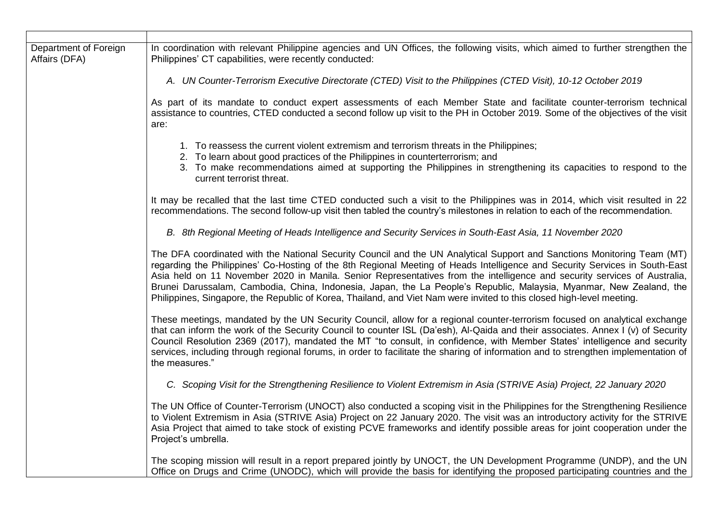| Department of Foreign<br>Affairs (DFA) | In coordination with relevant Philippine agencies and UN Offices, the following visits, which aimed to further strengthen the<br>Philippines' CT capabilities, were recently conducted:                                                                                                                                                                                                                                                                                                                                                                                                                                             |
|----------------------------------------|-------------------------------------------------------------------------------------------------------------------------------------------------------------------------------------------------------------------------------------------------------------------------------------------------------------------------------------------------------------------------------------------------------------------------------------------------------------------------------------------------------------------------------------------------------------------------------------------------------------------------------------|
|                                        | A. UN Counter-Terrorism Executive Directorate (CTED) Visit to the Philippines (CTED Visit), 10-12 October 2019                                                                                                                                                                                                                                                                                                                                                                                                                                                                                                                      |
|                                        | As part of its mandate to conduct expert assessments of each Member State and facilitate counter-terrorism technical<br>assistance to countries, CTED conducted a second follow up visit to the PH in October 2019. Some of the objectives of the visit<br>are:                                                                                                                                                                                                                                                                                                                                                                     |
|                                        | 1. To reassess the current violent extremism and terrorism threats in the Philippines;<br>2. To learn about good practices of the Philippines in counterterrorism; and<br>3. To make recommendations aimed at supporting the Philippines in strengthening its capacities to respond to the<br>current terrorist threat.                                                                                                                                                                                                                                                                                                             |
|                                        | It may be recalled that the last time CTED conducted such a visit to the Philippines was in 2014, which visit resulted in 22<br>recommendations. The second follow-up visit then tabled the country's milestones in relation to each of the recommendation.                                                                                                                                                                                                                                                                                                                                                                         |
|                                        | B. 8th Regional Meeting of Heads Intelligence and Security Services in South-East Asia, 11 November 2020                                                                                                                                                                                                                                                                                                                                                                                                                                                                                                                            |
|                                        | The DFA coordinated with the National Security Council and the UN Analytical Support and Sanctions Monitoring Team (MT)<br>regarding the Philippines' Co-Hosting of the 8th Regional Meeting of Heads Intelligence and Security Services in South-East<br>Asia held on 11 November 2020 in Manila. Senior Representatives from the intelligence and security services of Australia,<br>Brunei Darussalam, Cambodia, China, Indonesia, Japan, the La People's Republic, Malaysia, Myanmar, New Zealand, the<br>Philippines, Singapore, the Republic of Korea, Thailand, and Viet Nam were invited to this closed high-level meeting. |
|                                        | These meetings, mandated by the UN Security Council, allow for a regional counter-terrorism focused on analytical exchange<br>that can inform the work of the Security Council to counter ISL (Da'esh), Al-Qaida and their associates. Annex I (v) of Security<br>Council Resolution 2369 (2017), mandated the MT "to consult, in confidence, with Member States' intelligence and security<br>services, including through regional forums, in order to facilitate the sharing of information and to strengthen implementation of<br>the measures."                                                                                 |
|                                        | C. Scoping Visit for the Strengthening Resilience to Violent Extremism in Asia (STRIVE Asia) Project, 22 January 2020                                                                                                                                                                                                                                                                                                                                                                                                                                                                                                               |
|                                        | The UN Office of Counter-Terrorism (UNOCT) also conducted a scoping visit in the Philippines for the Strengthening Resilience<br>to Violent Extremism in Asia (STRIVE Asia) Project on 22 January 2020. The visit was an introductory activity for the STRIVE<br>Asia Project that aimed to take stock of existing PCVE frameworks and identify possible areas for joint cooperation under the<br>Project's umbrella.                                                                                                                                                                                                               |
|                                        | The scoping mission will result in a report prepared jointly by UNOCT, the UN Development Programme (UNDP), and the UN<br>Office on Drugs and Crime (UNODC), which will provide the basis for identifying the proposed participating countries and the                                                                                                                                                                                                                                                                                                                                                                              |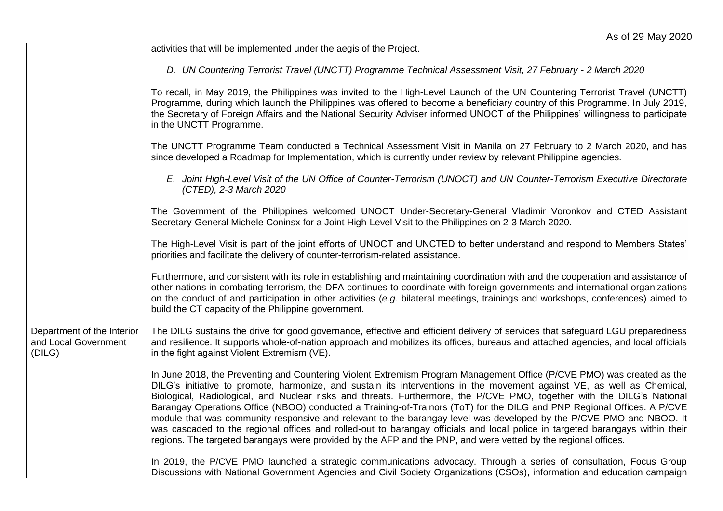|                                                              | activities that will be implemented under the aegis of the Project.                                                                                                                                                                                                                                                                                                                                                                                                                                                                                                                                                                                                                                                                                                                                                                                                              |
|--------------------------------------------------------------|----------------------------------------------------------------------------------------------------------------------------------------------------------------------------------------------------------------------------------------------------------------------------------------------------------------------------------------------------------------------------------------------------------------------------------------------------------------------------------------------------------------------------------------------------------------------------------------------------------------------------------------------------------------------------------------------------------------------------------------------------------------------------------------------------------------------------------------------------------------------------------|
|                                                              | D. UN Countering Terrorist Travel (UNCTT) Programme Technical Assessment Visit, 27 February - 2 March 2020                                                                                                                                                                                                                                                                                                                                                                                                                                                                                                                                                                                                                                                                                                                                                                       |
|                                                              | To recall, in May 2019, the Philippines was invited to the High-Level Launch of the UN Countering Terrorist Travel (UNCTT)<br>Programme, during which launch the Philippines was offered to become a beneficiary country of this Programme. In July 2019,<br>the Secretary of Foreign Affairs and the National Security Adviser informed UNOCT of the Philippines' willingness to participate<br>in the UNCTT Programme.                                                                                                                                                                                                                                                                                                                                                                                                                                                         |
|                                                              | The UNCTT Programme Team conducted a Technical Assessment Visit in Manila on 27 February to 2 March 2020, and has<br>since developed a Roadmap for Implementation, which is currently under review by relevant Philippine agencies.                                                                                                                                                                                                                                                                                                                                                                                                                                                                                                                                                                                                                                              |
|                                                              | E. Joint High-Level Visit of the UN Office of Counter-Terrorism (UNOCT) and UN Counter-Terrorism Executive Directorate<br>(CTED), 2-3 March 2020                                                                                                                                                                                                                                                                                                                                                                                                                                                                                                                                                                                                                                                                                                                                 |
|                                                              | The Government of the Philippines welcomed UNOCT Under-Secretary-General Vladimir Voronkov and CTED Assistant<br>Secretary-General Michele Coninsx for a Joint High-Level Visit to the Philippines on 2-3 March 2020.                                                                                                                                                                                                                                                                                                                                                                                                                                                                                                                                                                                                                                                            |
|                                                              | The High-Level Visit is part of the joint efforts of UNOCT and UNCTED to better understand and respond to Members States'<br>priorities and facilitate the delivery of counter-terrorism-related assistance.                                                                                                                                                                                                                                                                                                                                                                                                                                                                                                                                                                                                                                                                     |
|                                                              | Furthermore, and consistent with its role in establishing and maintaining coordination with and the cooperation and assistance of<br>other nations in combating terrorism, the DFA continues to coordinate with foreign governments and international organizations<br>on the conduct of and participation in other activities (e.g. bilateral meetings, trainings and workshops, conferences) aimed to<br>build the CT capacity of the Philippine government.                                                                                                                                                                                                                                                                                                                                                                                                                   |
| Department of the Interior<br>and Local Government<br>(DILG) | The DILG sustains the drive for good governance, effective and efficient delivery of services that safeguard LGU preparedness<br>and resilience. It supports whole-of-nation approach and mobilizes its offices, bureaus and attached agencies, and local officials<br>in the fight against Violent Extremism (VE).                                                                                                                                                                                                                                                                                                                                                                                                                                                                                                                                                              |
|                                                              | In June 2018, the Preventing and Countering Violent Extremism Program Management Office (P/CVE PMO) was created as the<br>DILG's initiative to promote, harmonize, and sustain its interventions in the movement against VE, as well as Chemical,<br>Biological, Radiological, and Nuclear risks and threats. Furthermore, the P/CVE PMO, together with the DILG's National<br>Barangay Operations Office (NBOO) conducted a Training-of-Trainors (ToT) for the DILG and PNP Regional Offices. A P/CVE<br>module that was community-responsive and relevant to the barangay level was developed by the P/CVE PMO and NBOO. It<br>was cascaded to the regional offices and rolled-out to barangay officials and local police in targeted barangays within their<br>regions. The targeted barangays were provided by the AFP and the PNP, and were vetted by the regional offices. |
|                                                              | In 2019, the P/CVE PMO launched a strategic communications advocacy. Through a series of consultation, Focus Group<br>Discussions with National Government Agencies and Civil Society Organizations (CSOs), information and education campaign                                                                                                                                                                                                                                                                                                                                                                                                                                                                                                                                                                                                                                   |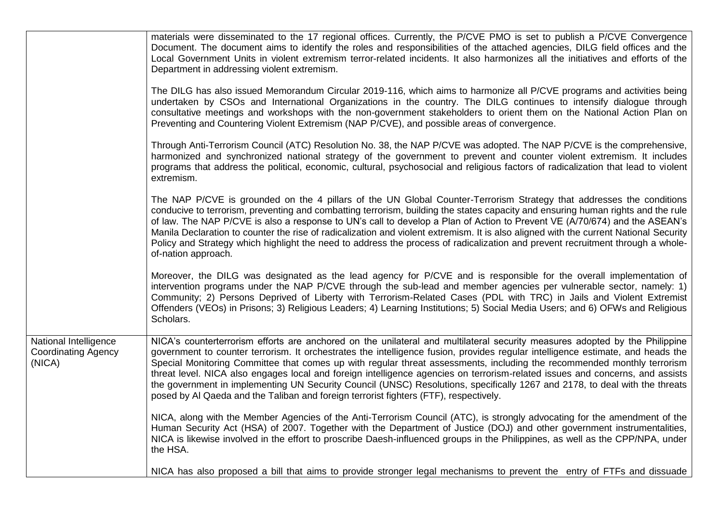|                                                               | materials were disseminated to the 17 regional offices. Currently, the P/CVE PMO is set to publish a P/CVE Convergence<br>Document. The document aims to identify the roles and responsibilities of the attached agencies, DILG field offices and the<br>Local Government Units in violent extremism terror-related incidents. It also harmonizes all the initiatives and efforts of the<br>Department in addressing violent extremism.                                                                                                                                                                                                                                                                                                            |
|---------------------------------------------------------------|----------------------------------------------------------------------------------------------------------------------------------------------------------------------------------------------------------------------------------------------------------------------------------------------------------------------------------------------------------------------------------------------------------------------------------------------------------------------------------------------------------------------------------------------------------------------------------------------------------------------------------------------------------------------------------------------------------------------------------------------------|
|                                                               | The DILG has also issued Memorandum Circular 2019-116, which aims to harmonize all P/CVE programs and activities being<br>undertaken by CSOs and International Organizations in the country. The DILG continues to intensify dialogue through<br>consultative meetings and workshops with the non-government stakeholders to orient them on the National Action Plan on<br>Preventing and Countering Violent Extremism (NAP P/CVE), and possible areas of convergence.                                                                                                                                                                                                                                                                             |
|                                                               | Through Anti-Terrorism Council (ATC) Resolution No. 38, the NAP P/CVE was adopted. The NAP P/CVE is the comprehensive,<br>harmonized and synchronized national strategy of the government to prevent and counter violent extremism. It includes<br>programs that address the political, economic, cultural, psychosocial and religious factors of radicalization that lead to violent<br>extremism.                                                                                                                                                                                                                                                                                                                                                |
|                                                               | The NAP P/CVE is grounded on the 4 pillars of the UN Global Counter-Terrorism Strategy that addresses the conditions<br>conducive to terrorism, preventing and combatting terrorism, building the states capacity and ensuring human rights and the rule<br>of law. The NAP P/CVE is also a response to UN's call to develop a Plan of Action to Prevent VE (A/70/674) and the ASEAN's<br>Manila Declaration to counter the rise of radicalization and violent extremism. It is also aligned with the current National Security<br>Policy and Strategy which highlight the need to address the process of radicalization and prevent recruitment through a whole-<br>of-nation approach.                                                           |
|                                                               | Moreover, the DILG was designated as the lead agency for P/CVE and is responsible for the overall implementation of<br>intervention programs under the NAP P/CVE through the sub-lead and member agencies per vulnerable sector, namely: 1)<br>Community; 2) Persons Deprived of Liberty with Terrorism-Related Cases (PDL with TRC) in Jails and Violent Extremist<br>Offenders (VEOs) in Prisons; 3) Religious Leaders; 4) Learning Institutions; 5) Social Media Users; and 6) OFWs and Religious<br>Scholars.                                                                                                                                                                                                                                  |
| National Intelligence<br><b>Coordinating Agency</b><br>(NICA) | NICA's counterterrorism efforts are anchored on the unilateral and multilateral security measures adopted by the Philippine<br>government to counter terrorism. It orchestrates the intelligence fusion, provides regular intelligence estimate, and heads the<br>Special Monitoring Committee that comes up with regular threat assessments, including the recommended monthly terrorism<br>threat level. NICA also engages local and foreign intelligence agencies on terrorism-related issues and concerns, and assists<br>the government in implementing UN Security Council (UNSC) Resolutions, specifically 1267 and 2178, to deal with the threats<br>posed by AI Qaeda and the Taliban and foreign terrorist fighters (FTF), respectively. |
|                                                               | NICA, along with the Member Agencies of the Anti-Terrorism Council (ATC), is strongly advocating for the amendment of the<br>Human Security Act (HSA) of 2007. Together with the Department of Justice (DOJ) and other government instrumentalities,<br>NICA is likewise involved in the effort to proscribe Daesh-influenced groups in the Philippines, as well as the CPP/NPA, under<br>the HSA.                                                                                                                                                                                                                                                                                                                                                 |
|                                                               | NICA has also proposed a bill that aims to provide stronger legal mechanisms to prevent the entry of FTFs and dissuade                                                                                                                                                                                                                                                                                                                                                                                                                                                                                                                                                                                                                             |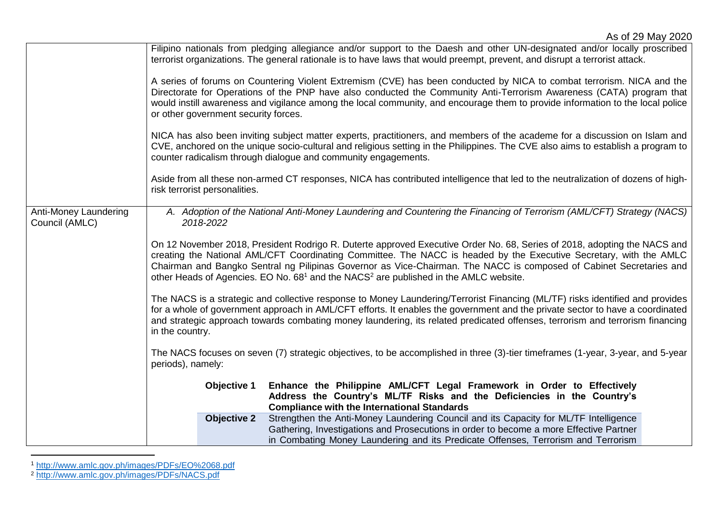|                                         | Filipino nationals from pledging allegiance and/or support to the Daesh and other UN-designated and/or locally proscribed<br>terrorist organizations. The general rationale is to have laws that would preempt, prevent, and disrupt a terrorist attack.                                                                                                                                                                                                                              |  |
|-----------------------------------------|---------------------------------------------------------------------------------------------------------------------------------------------------------------------------------------------------------------------------------------------------------------------------------------------------------------------------------------------------------------------------------------------------------------------------------------------------------------------------------------|--|
|                                         | A series of forums on Countering Violent Extremism (CVE) has been conducted by NICA to combat terrorism. NICA and the<br>Directorate for Operations of the PNP have also conducted the Community Anti-Terrorism Awareness (CATA) program that<br>would instill awareness and vigilance among the local community, and encourage them to provide information to the local police<br>or other government security forces.                                                               |  |
|                                         | NICA has also been inviting subject matter experts, practitioners, and members of the academe for a discussion on Islam and<br>CVE, anchored on the unique socio-cultural and religious setting in the Philippines. The CVE also aims to establish a program to<br>counter radicalism through dialogue and community engagements.                                                                                                                                                     |  |
|                                         | Aside from all these non-armed CT responses, NICA has contributed intelligence that led to the neutralization of dozens of high-<br>risk terrorist personalities.                                                                                                                                                                                                                                                                                                                     |  |
| Anti-Money Laundering<br>Council (AMLC) | A. Adoption of the National Anti-Money Laundering and Countering the Financing of Terrorism (AML/CFT) Strategy (NACS)<br>2018-2022                                                                                                                                                                                                                                                                                                                                                    |  |
|                                         | On 12 November 2018, President Rodrigo R. Duterte approved Executive Order No. 68, Series of 2018, adopting the NACS and<br>creating the National AML/CFT Coordinating Committee. The NACC is headed by the Executive Secretary, with the AMLC<br>Chairman and Bangko Sentral ng Pilipinas Governor as Vice-Chairman. The NACC is composed of Cabinet Secretaries and<br>other Heads of Agencies. EO No. 68 <sup>1</sup> and the NACS <sup>2</sup> are published in the AMLC website. |  |
|                                         | The NACS is a strategic and collective response to Money Laundering/Terrorist Financing (ML/TF) risks identified and provides<br>for a whole of government approach in AML/CFT efforts. It enables the government and the private sector to have a coordinated<br>and strategic approach towards combating money laundering, its related predicated offenses, terrorism and terrorism financing<br>in the country.                                                                    |  |
|                                         | The NACS focuses on seven (7) strategic objectives, to be accomplished in three (3)-tier timeframes (1-year, 3-year, and 5-year<br>periods), namely:                                                                                                                                                                                                                                                                                                                                  |  |
|                                         | Enhance the Philippine AML/CFT Legal Framework in Order to Effectively<br>Objective 1<br>Address the Country's ML/TF Risks and the Deficiencies in the Country's<br><b>Compliance with the International Standards</b>                                                                                                                                                                                                                                                                |  |
|                                         | Strengthen the Anti-Money Laundering Council and its Capacity for ML/TF Intelligence<br><b>Objective 2</b><br>Gathering, Investigations and Prosecutions in order to become a more Effective Partner<br>in Combating Money Laundering and its Predicate Offenses, Terrorism and Terrorism                                                                                                                                                                                             |  |

<sup>1</sup> http://www.amlc.gov.ph/images/PDFs/EO%2068.pdf

l

<sup>2</sup> http://www.amlc.gov.ph/images/PDFs/NACS.pdf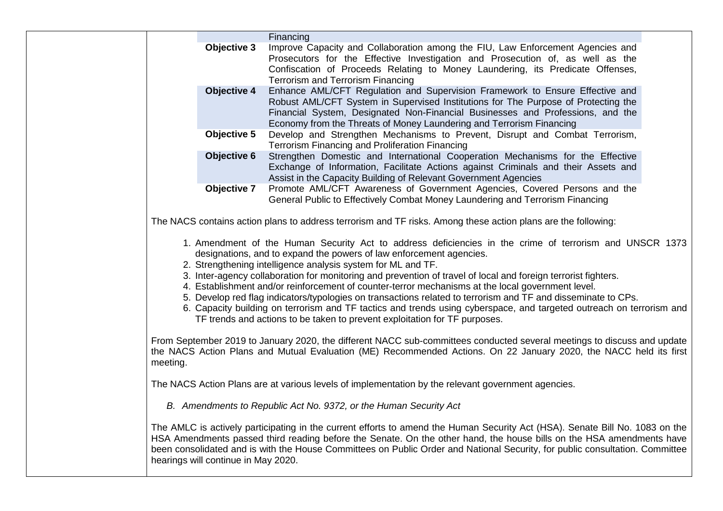|                                                                                                                                                                                                                                                                                                                                                                                                                                                                                                                                            |                    | Financing                                                                                                                                                                                                                                                                                                                    |
|--------------------------------------------------------------------------------------------------------------------------------------------------------------------------------------------------------------------------------------------------------------------------------------------------------------------------------------------------------------------------------------------------------------------------------------------------------------------------------------------------------------------------------------------|--------------------|------------------------------------------------------------------------------------------------------------------------------------------------------------------------------------------------------------------------------------------------------------------------------------------------------------------------------|
|                                                                                                                                                                                                                                                                                                                                                                                                                                                                                                                                            | Objective 3        | Improve Capacity and Collaboration among the FIU, Law Enforcement Agencies and<br>Prosecutors for the Effective Investigation and Prosecution of, as well as the<br>Confiscation of Proceeds Relating to Money Laundering, its Predicate Offenses,<br><b>Terrorism and Terrorism Financing</b>                               |
|                                                                                                                                                                                                                                                                                                                                                                                                                                                                                                                                            | <b>Objective 4</b> | Enhance AML/CFT Regulation and Supervision Framework to Ensure Effective and<br>Robust AML/CFT System in Supervised Institutions for The Purpose of Protecting the<br>Financial System, Designated Non-Financial Businesses and Professions, and the<br>Economy from the Threats of Money Laundering and Terrorism Financing |
|                                                                                                                                                                                                                                                                                                                                                                                                                                                                                                                                            | Objective 5        | Develop and Strengthen Mechanisms to Prevent, Disrupt and Combat Terrorism,<br>Terrorism Financing and Proliferation Financing                                                                                                                                                                                               |
|                                                                                                                                                                                                                                                                                                                                                                                                                                                                                                                                            | Objective 6        | Strengthen Domestic and International Cooperation Mechanisms for the Effective<br>Exchange of Information, Facilitate Actions against Criminals and their Assets and<br>Assist in the Capacity Building of Relevant Government Agencies                                                                                      |
|                                                                                                                                                                                                                                                                                                                                                                                                                                                                                                                                            | Objective 7        | Promote AML/CFT Awareness of Government Agencies, Covered Persons and the<br>General Public to Effectively Combat Money Laundering and Terrorism Financing                                                                                                                                                                   |
| The NACS contains action plans to address terrorism and TF risks. Among these action plans are the following:                                                                                                                                                                                                                                                                                                                                                                                                                              |                    |                                                                                                                                                                                                                                                                                                                              |
| 1. Amendment of the Human Security Act to address deficiencies in the crime of terrorism and UNSCR 1373<br>designations, and to expand the powers of law enforcement agencies.<br>2. Strengthening intelligence analysis system for ML and TF.                                                                                                                                                                                                                                                                                             |                    |                                                                                                                                                                                                                                                                                                                              |
| 3. Inter-agency collaboration for monitoring and prevention of travel of local and foreign terrorist fighters.<br>4. Establishment and/or reinforcement of counter-terror mechanisms at the local government level.<br>5. Develop red flag indicators/typologies on transactions related to terrorism and TF and disseminate to CPs.<br>6. Capacity building on terrorism and TF tactics and trends using cyberspace, and targeted outreach on terrorism and<br>TF trends and actions to be taken to prevent exploitation for TF purposes. |                    |                                                                                                                                                                                                                                                                                                                              |
| From September 2019 to January 2020, the different NACC sub-committees conducted several meetings to discuss and update<br>the NACS Action Plans and Mutual Evaluation (ME) Recommended Actions. On 22 January 2020, the NACC held its first<br>meeting.                                                                                                                                                                                                                                                                                   |                    |                                                                                                                                                                                                                                                                                                                              |
| The NACS Action Plans are at various levels of implementation by the relevant government agencies.                                                                                                                                                                                                                                                                                                                                                                                                                                         |                    |                                                                                                                                                                                                                                                                                                                              |
| B. Amendments to Republic Act No. 9372, or the Human Security Act                                                                                                                                                                                                                                                                                                                                                                                                                                                                          |                    |                                                                                                                                                                                                                                                                                                                              |
| The AMLC is actively participating in the current efforts to amend the Human Security Act (HSA). Senate Bill No. 1083 on the<br>HSA Amendments passed third reading before the Senate. On the other hand, the house bills on the HSA amendments have<br>been consolidated and is with the House Committees on Public Order and National Security, for public consultation. Committee<br>hearings will continue in May 2020.                                                                                                                |                    |                                                                                                                                                                                                                                                                                                                              |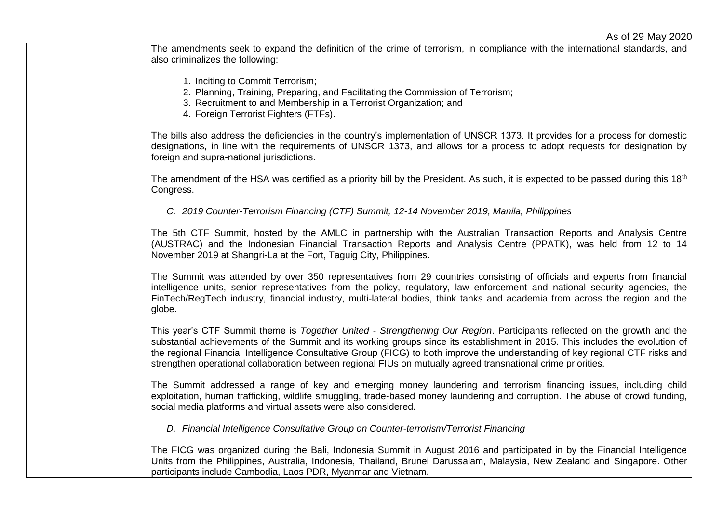The amendments seek to expand the definition of the crime of terrorism, in compliance with the international standards, and also criminalizes the following:

- 1. Inciting to Commit Terrorism;
- 2. Planning, Training, Preparing, and Facilitating the Commission of Terrorism;
- 3. Recruitment to and Membership in a Terrorist Organization; and
- 4. Foreign Terrorist Fighters (FTFs).

The bills also address the deficiencies in the country's implementation of UNSCR 1373. It provides for a process for domestic designations, in line with the requirements of UNSCR 1373, and allows for a process to adopt requests for designation by foreign and supra-national jurisdictions.

The amendment of the HSA was certified as a priority bill by the President. As such, it is expected to be passed during this  $18<sup>th</sup>$ Congress.

*C. 2019 Counter-Terrorism Financing (CTF) Summit, 12-14 November 2019, Manila, Philippines*

The 5th CTF Summit, hosted by the AMLC in partnership with the Australian Transaction Reports and Analysis Centre (AUSTRAC) and the Indonesian Financial Transaction Reports and Analysis Centre (PPATK), was held from 12 to 14 November 2019 at Shangri-La at the Fort, Taguig City, Philippines.

The Summit was attended by over 350 representatives from 29 countries consisting of officials and experts from financial intelligence units, senior representatives from the policy, regulatory, law enforcement and national security agencies, the FinTech/RegTech industry, financial industry, multi-lateral bodies, think tanks and academia from across the region and the globe.

This year's CTF Summit theme is *Together United - Strengthening Our Region*. Participants reflected on the growth and the substantial achievements of the Summit and its working groups since its establishment in 2015. This includes the evolution of the regional Financial Intelligence Consultative Group (FICG) to both improve the understanding of key regional CTF risks and strengthen operational collaboration between regional FIUs on mutually agreed transnational crime priorities.

The Summit addressed a range of key and emerging money laundering and terrorism financing issues, including child exploitation, human trafficking, wildlife smuggling, trade-based money laundering and corruption. The abuse of crowd funding, social media platforms and virtual assets were also considered.

*D. Financial Intelligence Consultative Group on Counter-terrorism/Terrorist Financing*

The FICG was organized during the Bali, Indonesia Summit in August 2016 and participated in by the Financial Intelligence Units from the Philippines, Australia, Indonesia, Thailand, Brunei Darussalam, Malaysia, New Zealand and Singapore. Other participants include Cambodia, Laos PDR, Myanmar and Vietnam.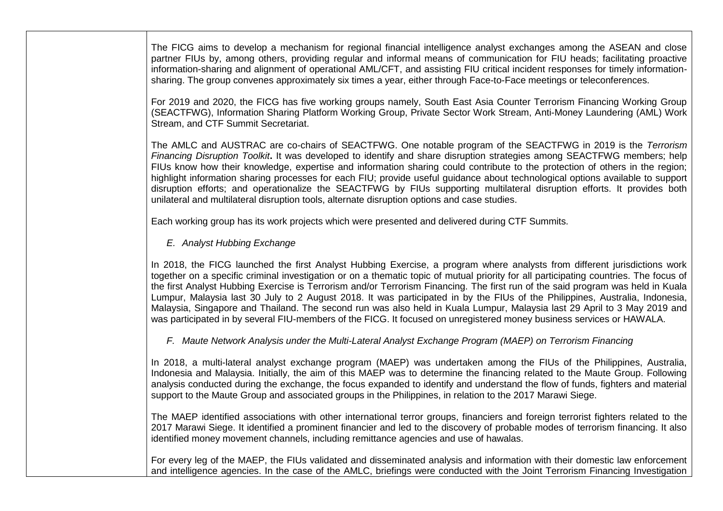The FICG aims to develop a mechanism for regional financial intelligence analyst exchanges among the ASEAN and close partner FIUs by, among others, providing regular and informal means of communication for FIU heads; facilitating proactive information-sharing and alignment of operational AML/CFT, and assisting FIU critical incident responses for timely informationsharing. The group convenes approximately six times a year, either through Face-to-Face meetings or teleconferences.

For 2019 and 2020, the FICG has five working groups namely, South East Asia Counter Terrorism Financing Working Group (SEACTFWG), Information Sharing Platform Working Group, Private Sector Work Stream, Anti-Money Laundering (AML) Work Stream, and CTF Summit Secretariat.

The AMLC and AUSTRAC are co-chairs of SEACTFWG. One notable program of the SEACTFWG in 2019 is the *Terrorism Financing Disruption Toolkit***.** It was developed to identify and share disruption strategies among SEACTFWG members; help FIUs know how their knowledge, expertise and information sharing could contribute to the protection of others in the region; highlight information sharing processes for each FIU; provide useful guidance about technological options available to support disruption efforts; and operationalize the SEACTFWG by FIUs supporting multilateral disruption efforts. It provides both unilateral and multilateral disruption tools, alternate disruption options and case studies.

Each working group has its work projects which were presented and delivered during CTF Summits.

# *E. Analyst Hubbing Exchange*

In 2018, the FICG launched the first Analyst Hubbing Exercise, a program where analysts from different jurisdictions work together on a specific criminal investigation or on a thematic topic of mutual priority for all participating countries. The focus of the first Analyst Hubbing Exercise is Terrorism and/or Terrorism Financing. The first run of the said program was held in Kuala Lumpur, Malaysia last 30 July to 2 August 2018. It was participated in by the FIUs of the Philippines, Australia, Indonesia, Malaysia, Singapore and Thailand. The second run was also held in Kuala Lumpur, Malaysia last 29 April to 3 May 2019 and was participated in by several FIU-members of the FICG. It focused on unregistered money business services or HAWALA.

*F. Maute Network Analysis under the Multi-Lateral Analyst Exchange Program (MAEP) on Terrorism Financing*

In 2018, a multi-lateral analyst exchange program (MAEP) was undertaken among the FIUs of the Philippines, Australia, Indonesia and Malaysia. Initially, the aim of this MAEP was to determine the financing related to the Maute Group. Following analysis conducted during the exchange, the focus expanded to identify and understand the flow of funds, fighters and material support to the Maute Group and associated groups in the Philippines, in relation to the 2017 Marawi Siege.

The MAEP identified associations with other international terror groups, financiers and foreign terrorist fighters related to the 2017 Marawi Siege. It identified a prominent financier and led to the discovery of probable modes of terrorism financing. It also identified money movement channels, including remittance agencies and use of hawalas.

For every leg of the MAEP, the FIUs validated and disseminated analysis and information with their domestic law enforcement and intelligence agencies. In the case of the AMLC, briefings were conducted with the Joint Terrorism Financing Investigation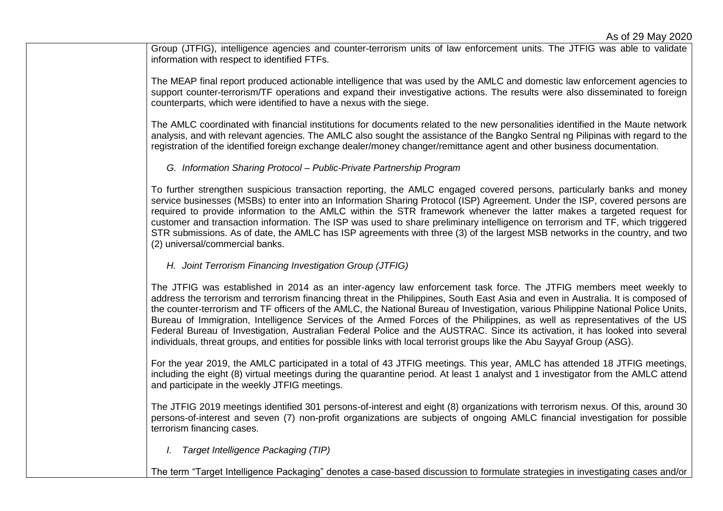Group (JTFIG), intelligence agencies and counter-terrorism units of law enforcement units. The JTFIG was able to validate information with respect to identified FTFs.

The MEAP final report produced actionable intelligence that was used by the AMLC and domestic law enforcement agencies to support counter-terrorism/TF operations and expand their investigative actions. The results were also disseminated to foreign counterparts, which were identified to have a nexus with the siege.

The AMLC coordinated with financial institutions for documents related to the new personalities identified in the Maute network analysis, and with relevant agencies. The AMLC also sought the assistance of the Bangko Sentral ng Pilipinas with regard to the registration of the identified foreign exchange dealer/money changer/remittance agent and other business documentation.

*G. Information Sharing Protocol – Public-Private Partnership Program* 

To further strengthen suspicious transaction reporting, the AMLC engaged covered persons, particularly banks and money service businesses (MSBs) to enter into an Information Sharing Protocol (ISP) Agreement. Under the ISP, covered persons are required to provide information to the AMLC within the STR framework whenever the latter makes a targeted request for customer and transaction information. The ISP was used to share preliminary intelligence on terrorism and TF, which triggered STR submissions. As of date, the AMLC has ISP agreements with three (3) of the largest MSB networks in the country, and two (2) universal/commercial banks.

*H. Joint Terrorism Financing Investigation Group (JTFIG)*

The JTFIG was established in 2014 as an inter-agency law enforcement task force. The JTFIG members meet weekly to address the terrorism and terrorism financing threat in the Philippines, South East Asia and even in Australia. It is composed of the counter-terrorism and TF officers of the AMLC, the National Bureau of Investigation, various Philippine National Police Units, Bureau of Immigration, Intelligence Services of the Armed Forces of the Philippines, as well as representatives of the US Federal Bureau of Investigation, Australian Federal Police and the AUSTRAC. Since its activation, it has looked into several individuals, threat groups, and entities for possible links with local terrorist groups like the Abu Sayyaf Group (ASG).

For the year 2019, the AMLC participated in a total of 43 JTFIG meetings. This year, AMLC has attended 18 JTFIG meetings, including the eight (8) virtual meetings during the quarantine period. At least 1 analyst and 1 investigator from the AMLC attend and participate in the weekly JTFIG meetings.

The JTFIG 2019 meetings identified 301 persons-of-interest and eight (8) organizations with terrorism nexus. Of this, around 30 persons-of-interest and seven (7) non-profit organizations are subjects of ongoing AMLC financial investigation for possible terrorism financing cases.

*I. Target Intelligence Packaging (TIP)* 

The term "Target Intelligence Packaging" denotes a case-based discussion to formulate strategies in investigating cases and/or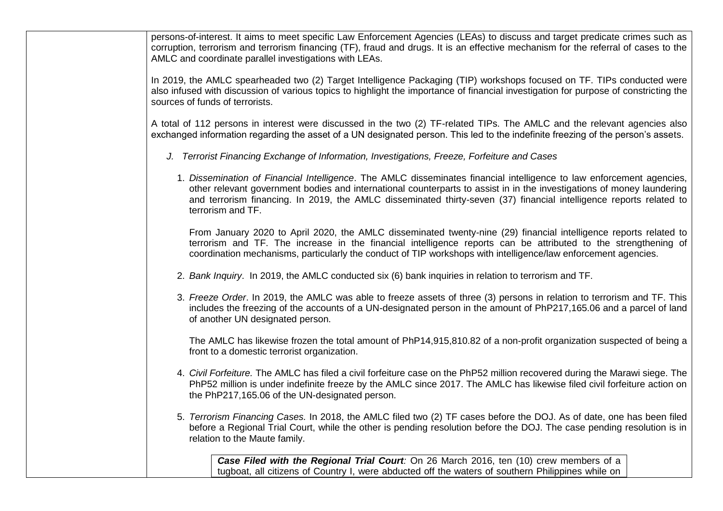persons-of-interest. It aims to meet specific Law Enforcement Agencies (LEAs) to discuss and target predicate crimes such as corruption, terrorism and terrorism financing (TF), fraud and drugs. It is an effective mechanism for the referral of cases to the AMLC and coordinate parallel investigations with LEAs.

In 2019, the AMLC spearheaded two (2) Target Intelligence Packaging (TIP) workshops focused on TF. TIPs conducted were also infused with discussion of various topics to highlight the importance of financial investigation for purpose of constricting the sources of funds of terrorists.

A total of 112 persons in interest were discussed in the two (2) TF-related TIPs. The AMLC and the relevant agencies also exchanged information regarding the asset of a UN designated person. This led to the indefinite freezing of the person's assets.

- *J. Terrorist Financing Exchange of Information, Investigations, Freeze, Forfeiture and Cases*
	- 1. *Dissemination of Financial Intelligence*. The AMLC disseminates financial intelligence to law enforcement agencies, other relevant government bodies and international counterparts to assist in in the investigations of money laundering and terrorism financing. In 2019, the AMLC disseminated thirty-seven (37) financial intelligence reports related to terrorism and TF.

From January 2020 to April 2020, the AMLC disseminated twenty-nine (29) financial intelligence reports related to terrorism and TF. The increase in the financial intelligence reports can be attributed to the strengthening of coordination mechanisms, particularly the conduct of TIP workshops with intelligence/law enforcement agencies.

- 2. *Bank Inquiry*. In 2019, the AMLC conducted six (6) bank inquiries in relation to terrorism and TF.
- 3. *Freeze Order*. In 2019, the AMLC was able to freeze assets of three (3) persons in relation to terrorism and TF. This includes the freezing of the accounts of a UN-designated person in the amount of PhP217,165.06 and a parcel of land of another UN designated person.

The AMLC has likewise frozen the total amount of PhP14,915,810.82 of a non-profit organization suspected of being a front to a domestic terrorist organization.

- 4. *Civil Forfeiture.* The AMLC has filed a civil forfeiture case on the PhP52 million recovered during the Marawi siege. The PhP52 million is under indefinite freeze by the AMLC since 2017. The AMLC has likewise filed civil forfeiture action on the PhP217,165.06 of the UN-designated person.
- 5. *Terrorism Financing Cases.* In 2018, the AMLC filed two (2) TF cases before the DOJ. As of date, one has been filed before a Regional Trial Court, while the other is pending resolution before the DOJ. The case pending resolution is in relation to the Maute family.

**Case Filed with the Regional Trial Court**: On 26 March 2016, ten (10) crew members of a tugboat, all citizens of Country I, were abducted off the waters of southern Philippines while on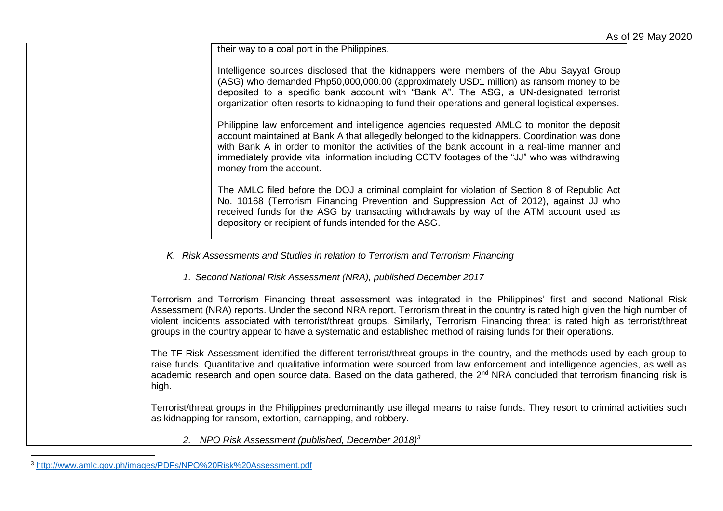their way to a coal port in the Philippines.

Intelligence sources disclosed that the kidnappers were members of the Abu Sayyaf Group (ASG) who demanded Php50,000,000.00 (approximately USD1 million) as ransom money to be deposited to a specific bank account with "Bank A". The ASG, a UN-designated terrorist organization often resorts to kidnapping to fund their operations and general logistical expenses.

Philippine law enforcement and intelligence agencies requested AMLC to monitor the deposit account maintained at Bank A that allegedly belonged to the kidnappers. Coordination was done with Bank A in order to monitor the activities of the bank account in a real-time manner and immediately provide vital information including CCTV footages of the "JJ" who was withdrawing money from the account.

The AMLC filed before the DOJ a criminal complaint for violation of Section 8 of Republic Act No. 10168 (Terrorism Financing Prevention and Suppression Act of 2012), against JJ who received funds for the ASG by transacting withdrawals by way of the ATM account used as depository or recipient of funds intended for the ASG.

*K. Risk Assessments and Studies in relation to Terrorism and Terrorism Financing*

*1. Second National Risk Assessment (NRA), published December 2017*

Terrorism and Terrorism Financing threat assessment was integrated in the Philippines' first and second National Risk Assessment (NRA) reports. Under the second NRA report, Terrorism threat in the country is rated high given the high number of violent incidents associated with terrorist/threat groups. Similarly, Terrorism Financing threat is rated high as terrorist/threat groups in the country appear to have a systematic and established method of raising funds for their operations.

The TF Risk Assessment identified the different terrorist/threat groups in the country, and the methods used by each group to raise funds. Quantitative and qualitative information were sourced from law enforcement and intelligence agencies, as well as academic research and open source data. Based on the data gathered, the 2<sup>nd</sup> NRA concluded that terrorism financing risk is high.

Terrorist/threat groups in the Philippines predominantly use illegal means to raise funds. They resort to criminal activities such as kidnapping for ransom, extortion, carnapping, and robbery.

*2. NPO Risk Assessment (published, December 2018)<sup>3</sup>*

l

<sup>3</sup> http://www.amlc.gov.ph/images/PDFs/NPO%20Risk%20Assessment.pdf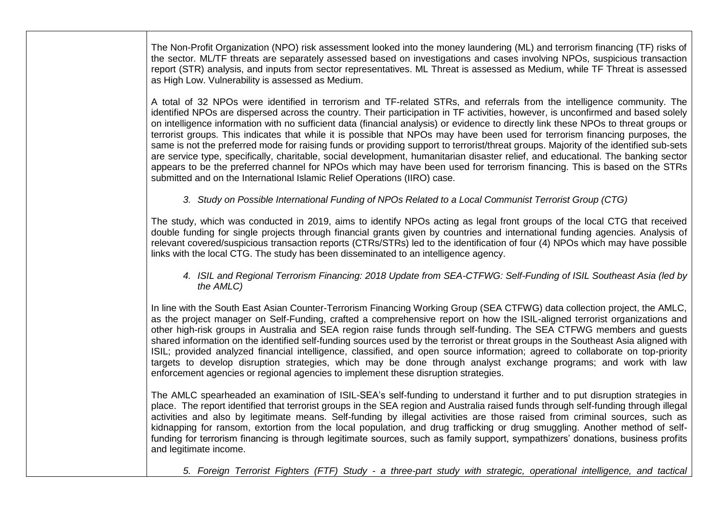The Non-Profit Organization (NPO) risk assessment looked into the money laundering (ML) and terrorism financing (TF) risks of the sector. ML/TF threats are separately assessed based on investigations and cases involving NPOs, suspicious transaction report (STR) analysis, and inputs from sector representatives. ML Threat is assessed as Medium, while TF Threat is assessed as High Low. Vulnerability is assessed as Medium.

A total of 32 NPOs were identified in terrorism and TF-related STRs, and referrals from the intelligence community. The identified NPOs are dispersed across the country. Their participation in TF activities, however, is unconfirmed and based solely on intelligence information with no sufficient data (financial analysis) or evidence to directly link these NPOs to threat groups or terrorist groups. This indicates that while it is possible that NPOs may have been used for terrorism financing purposes, the same is not the preferred mode for raising funds or providing support to terrorist/threat groups. Majority of the identified sub-sets are service type, specifically, charitable, social development, humanitarian disaster relief, and educational. The banking sector appears to be the preferred channel for NPOs which may have been used for terrorism financing. This is based on the STRs submitted and on the International Islamic Relief Operations (IIRO) case.

*3. Study on Possible International Funding of NPOs Related to a Local Communist Terrorist Group (CTG)*

The study, which was conducted in 2019, aims to identify NPOs acting as legal front groups of the local CTG that received double funding for single projects through financial grants given by countries and international funding agencies. Analysis of relevant covered/suspicious transaction reports (CTRs/STRs) led to the identification of four (4) NPOs which may have possible links with the local CTG. The study has been disseminated to an intelligence agency.

*4. ISIL and Regional Terrorism Financing: 2018 Update from SEA-CTFWG: Self-Funding of ISIL Southeast Asia (led by the AMLC)*

In line with the South East Asian Counter-Terrorism Financing Working Group (SEA CTFWG) data collection project, the AMLC, as the project manager on Self-Funding, crafted a comprehensive report on how the ISIL-aligned terrorist organizations and other high-risk groups in Australia and SEA region raise funds through self-funding. The SEA CTFWG members and guests shared information on the identified self-funding sources used by the terrorist or threat groups in the Southeast Asia aligned with ISIL; provided analyzed financial intelligence, classified, and open source information; agreed to collaborate on top-priority targets to develop disruption strategies, which may be done through analyst exchange programs; and work with law enforcement agencies or regional agencies to implement these disruption strategies.

The AMLC spearheaded an examination of ISIL-SEA's self-funding to understand it further and to put disruption strategies in place. The report identified that terrorist groups in the SEA region and Australia raised funds through self-funding through illegal activities and also by legitimate means. Self-funding by illegal activities are those raised from criminal sources, such as kidnapping for ransom, extortion from the local population, and drug trafficking or drug smuggling. Another method of selffunding for terrorism financing is through legitimate sources, such as family support, sympathizers' donations, business profits and legitimate income.

*5. Foreign Terrorist Fighters (FTF) Study - a three-part study with strategic, operational intelligence, and tactical*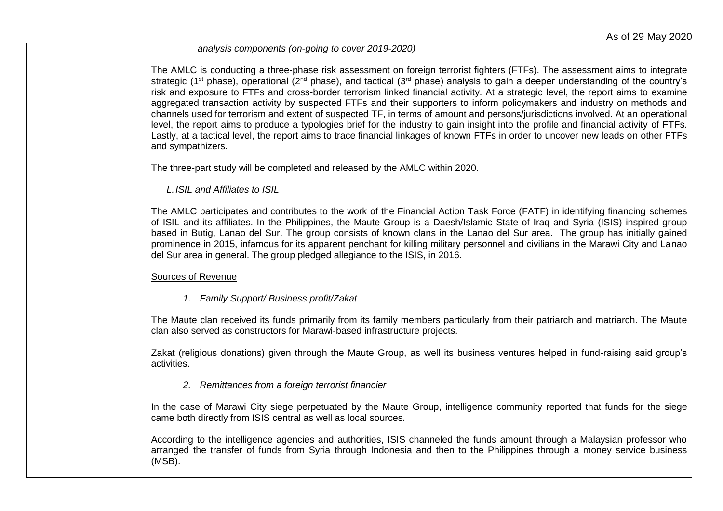*analysis components (on-going to cover 2019-2020)*

The AMLC is conducting a three-phase risk assessment on foreign terrorist fighters (FTFs). The assessment aims to integrate strategic (1<sup>st</sup> phase), operational (2<sup>nd</sup> phase), and tactical (3<sup>rd</sup> phase) analysis to gain a deeper understanding of the country's risk and exposure to FTFs and cross-border terrorism linked financial activity. At a strategic level, the report aims to examine aggregated transaction activity by suspected FTFs and their supporters to inform policymakers and industry on methods and channels used for terrorism and extent of suspected TF, in terms of amount and persons/jurisdictions involved. At an operational level, the report aims to produce a typologies brief for the industry to gain insight into the profile and financial activity of FTFs. Lastly, at a tactical level, the report aims to trace financial linkages of known FTFs in order to uncover new leads on other FTFs and sympathizers.

The three-part study will be completed and released by the AMLC within 2020.

*L.ISIL and Affiliates to ISIL*

The AMLC participates and contributes to the work of the Financial Action Task Force (FATF) in identifying financing schemes of ISIL and its affiliates. In the Philippines, the Maute Group is a Daesh/Islamic State of Iraq and Syria (ISIS) inspired group based in Butig, Lanao del Sur. The group consists of known clans in the Lanao del Sur area. The group has initially gained prominence in 2015, infamous for its apparent penchant for killing military personnel and civilians in the Marawi City and Lanao del Sur area in general. The group pledged allegiance to the ISIS, in 2016.

Sources of Revenue

*1. Family Support/ Business profit/Zakat*

The Maute clan received its funds primarily from its family members particularly from their patriarch and matriarch. The Maute clan also served as constructors for Marawi-based infrastructure projects.

Zakat (religious donations) given through the Maute Group, as well its business ventures helped in fund-raising said group's activities.

*2. Remittances from a foreign terrorist financier*

In the case of Marawi City siege perpetuated by the Maute Group, intelligence community reported that funds for the siege came both directly from ISIS central as well as local sources.

According to the intelligence agencies and authorities, ISIS channeled the funds amount through a Malaysian professor who arranged the transfer of funds from Syria through Indonesia and then to the Philippines through a money service business (MSB).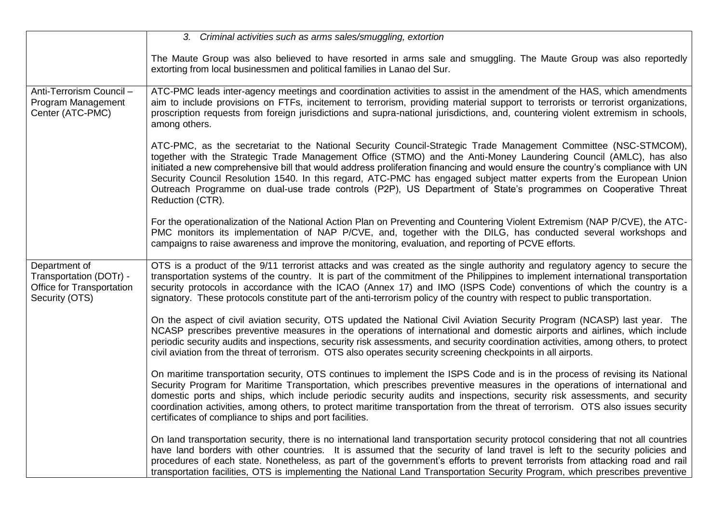|                                                                                         | 3. Criminal activities such as arms sales/smuggling, extortion                                                                                                                                                                                                                                                                                                                                                                                                                                                                                                                                                                        |
|-----------------------------------------------------------------------------------------|---------------------------------------------------------------------------------------------------------------------------------------------------------------------------------------------------------------------------------------------------------------------------------------------------------------------------------------------------------------------------------------------------------------------------------------------------------------------------------------------------------------------------------------------------------------------------------------------------------------------------------------|
|                                                                                         | The Maute Group was also believed to have resorted in arms sale and smuggling. The Maute Group was also reportedly<br>extorting from local businessmen and political families in Lanao del Sur.                                                                                                                                                                                                                                                                                                                                                                                                                                       |
| Anti-Terrorism Council -<br>Program Management<br>Center (ATC-PMC)                      | ATC-PMC leads inter-agency meetings and coordination activities to assist in the amendment of the HAS, which amendments<br>aim to include provisions on FTFs, incitement to terrorism, providing material support to terrorists or terrorist organizations,<br>proscription requests from foreign jurisdictions and supra-national jurisdictions, and, countering violent extremism in schools,<br>among others.                                                                                                                                                                                                                      |
|                                                                                         | ATC-PMC, as the secretariat to the National Security Council-Strategic Trade Management Committee (NSC-STMCOM),<br>together with the Strategic Trade Management Office (STMO) and the Anti-Money Laundering Council (AMLC), has also<br>initiated a new comprehensive bill that would address proliferation financing and would ensure the country's compliance with UN<br>Security Council Resolution 1540. In this regard, ATC-PMC has engaged subject matter experts from the European Union<br>Outreach Programme on dual-use trade controls (P2P), US Department of State's programmes on Cooperative Threat<br>Reduction (CTR). |
|                                                                                         | For the operationalization of the National Action Plan on Preventing and Countering Violent Extremism (NAP P/CVE), the ATC-<br>PMC monitors its implementation of NAP P/CVE, and, together with the DILG, has conducted several workshops and<br>campaigns to raise awareness and improve the monitoring, evaluation, and reporting of PCVE efforts.                                                                                                                                                                                                                                                                                  |
| Department of<br>Transportation (DOTr) -<br>Office for Transportation<br>Security (OTS) | OTS is a product of the 9/11 terrorist attacks and was created as the single authority and regulatory agency to secure the<br>transportation systems of the country. It is part of the commitment of the Philippines to implement international transportation<br>security protocols in accordance with the ICAO (Annex 17) and IMO (ISPS Code) conventions of which the country is a<br>signatory. These protocols constitute part of the anti-terrorism policy of the country with respect to public transportation.                                                                                                                |
|                                                                                         | On the aspect of civil aviation security, OTS updated the National Civil Aviation Security Program (NCASP) last year. The<br>NCASP prescribes preventive measures in the operations of international and domestic airports and airlines, which include<br>periodic security audits and inspections, security risk assessments, and security coordination activities, among others, to protect<br>civil aviation from the threat of terrorism. OTS also operates security screening checkpoints in all airports.                                                                                                                       |
|                                                                                         | On maritime transportation security, OTS continues to implement the ISPS Code and is in the process of revising its National<br>Security Program for Maritime Transportation, which prescribes preventive measures in the operations of international and<br>domestic ports and ships, which include periodic security audits and inspections, security risk assessments, and security<br>coordination activities, among others, to protect maritime transportation from the threat of terrorism. OTS also issues security<br>certificates of compliance to ships and port facilities.                                                |
|                                                                                         | On land transportation security, there is no international land transportation security protocol considering that not all countries<br>have land borders with other countries. It is assumed that the security of land travel is left to the security policies and<br>procedures of each state. Nonetheless, as part of the government's efforts to prevent terrorists from attacking road and rail<br>transportation facilities, OTS is implementing the National Land Transportation Security Program, which prescribes preventive                                                                                                  |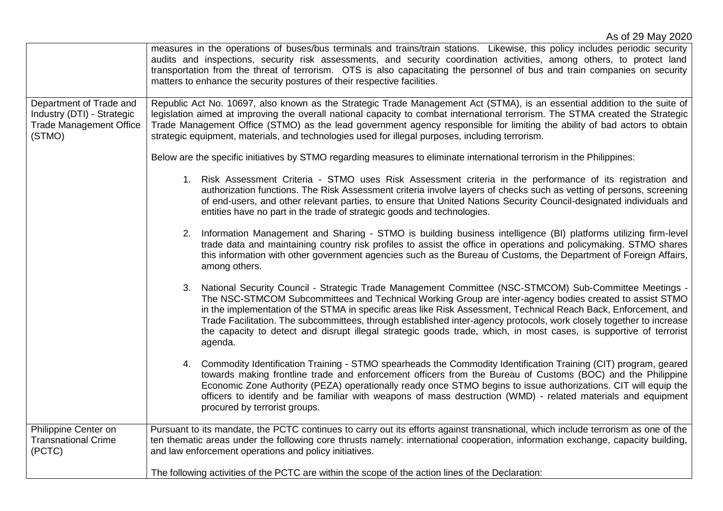|                                                                                                   | measures in the operations of buses/bus terminals and trains/train stations. Likewise, this policy includes periodic security<br>audits and inspections, security risk assessments, and security coordination activities, among others, to protect land<br>transportation from the threat of terrorism. OTS is also capacitating the personnel of bus and train companies on security<br>matters to enhance the security postures of their respective facilities.                                                                                                                                 |
|---------------------------------------------------------------------------------------------------|---------------------------------------------------------------------------------------------------------------------------------------------------------------------------------------------------------------------------------------------------------------------------------------------------------------------------------------------------------------------------------------------------------------------------------------------------------------------------------------------------------------------------------------------------------------------------------------------------|
| Department of Trade and<br>Industry (DTI) - Strategic<br><b>Trade Management Office</b><br>(STMO) | Republic Act No. 10697, also known as the Strategic Trade Management Act (STMA), is an essential addition to the suite of<br>legislation aimed at improving the overall national capacity to combat international terrorism. The STMA created the Strategic<br>Trade Management Office (STMO) as the lead government agency responsible for limiting the ability of bad actors to obtain<br>strategic equipment, materials, and technologies used for illegal purposes, including terrorism.                                                                                                      |
|                                                                                                   | Below are the specific initiatives by STMO regarding measures to eliminate international terrorism in the Philippines:                                                                                                                                                                                                                                                                                                                                                                                                                                                                            |
|                                                                                                   | 1. Risk Assessment Criteria - STMO uses Risk Assessment criteria in the performance of its registration and<br>authorization functions. The Risk Assessment criteria involve layers of checks such as vetting of persons, screening<br>of end-users, and other relevant parties, to ensure that United Nations Security Council-designated individuals and<br>entities have no part in the trade of strategic goods and technologies.                                                                                                                                                             |
|                                                                                                   | 2. Information Management and Sharing - STMO is building business intelligence (BI) platforms utilizing firm-level<br>trade data and maintaining country risk profiles to assist the office in operations and policymaking. STMO shares<br>this information with other government agencies such as the Bureau of Customs, the Department of Foreign Affairs,<br>among others.                                                                                                                                                                                                                     |
|                                                                                                   | 3. National Security Council - Strategic Trade Management Committee (NSC-STMCOM) Sub-Committee Meetings -<br>The NSC-STMCOM Subcommittees and Technical Working Group are inter-agency bodies created to assist STMO<br>in the implementation of the STMA in specific areas like Risk Assessment, Technical Reach Back, Enforcement, and<br>Trade Facilitation. The subcommittees, through established inter-agency protocols, work closely together to increase<br>the capacity to detect and disrupt illegal strategic goods trade, which, in most cases, is supportive of terrorist<br>agenda. |
|                                                                                                   | 4. Commodity Identification Training - STMO spearheads the Commodity Identification Training (CIT) program, geared<br>towards making frontline trade and enforcement officers from the Bureau of Customs (BOC) and the Philippine<br>Economic Zone Authority (PEZA) operationally ready once STMO begins to issue authorizations. CIT will equip the<br>officers to identify and be familiar with weapons of mass destruction (WMD) - related materials and equipment<br>procured by terrorist groups.                                                                                            |
| Philippine Center on<br><b>Transnational Crime</b><br>(PCTC)                                      | Pursuant to its mandate, the PCTC continues to carry out its efforts against transnational, which include terrorism as one of the<br>ten thematic areas under the following core thrusts namely: international cooperation, information exchange, capacity building,<br>and law enforcement operations and policy initiatives.                                                                                                                                                                                                                                                                    |
|                                                                                                   | The following activities of the PCTC are within the scope of the action lines of the Declaration:                                                                                                                                                                                                                                                                                                                                                                                                                                                                                                 |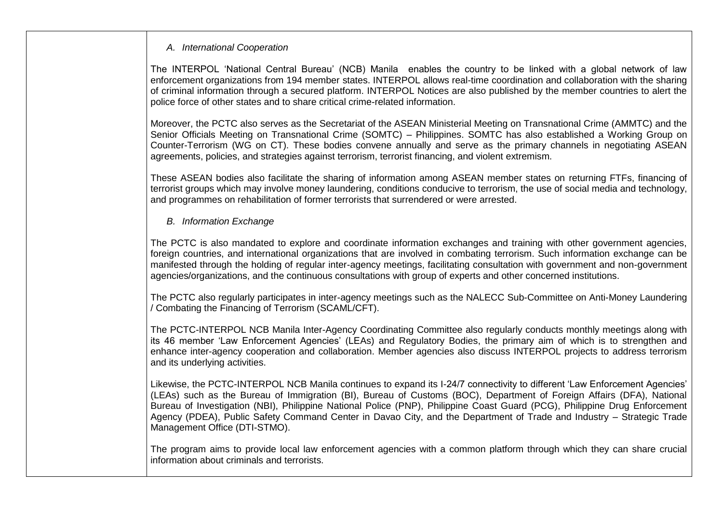#### *A. International Cooperation*

The INTERPOL 'National Central Bureau' (NCB) Manila enables the country to be linked with a global network of law enforcement organizations from 194 member states. INTERPOL allows real-time coordination and collaboration with the sharing of criminal information through a secured platform. INTERPOL Notices are also published by the member countries to alert the police force of other states and to share critical crime-related information.

Moreover, the PCTC also serves as the Secretariat of the ASEAN Ministerial Meeting on Transnational Crime (AMMTC) and the Senior Officials Meeting on Transnational Crime (SOMTC) – Philippines. SOMTC has also established a Working Group on Counter-Terrorism (WG on CT). These bodies convene annually and serve as the primary channels in negotiating ASEAN agreements, policies, and strategies against terrorism, terrorist financing, and violent extremism.

These ASEAN bodies also facilitate the sharing of information among ASEAN member states on returning FTFs, financing of terrorist groups which may involve money laundering, conditions conducive to terrorism, the use of social media and technology, and programmes on rehabilitation of former terrorists that surrendered or were arrested.

# *B. Information Exchange*

The PCTC is also mandated to explore and coordinate information exchanges and training with other government agencies, foreign countries, and international organizations that are involved in combating terrorism. Such information exchange can be manifested through the holding of regular inter-agency meetings, facilitating consultation with government and non-government agencies/organizations, and the continuous consultations with group of experts and other concerned institutions.

The PCTC also regularly participates in inter-agency meetings such as the NALECC Sub-Committee on Anti-Money Laundering / Combating the Financing of Terrorism (SCAML/CFT).

The PCTC-INTERPOL NCB Manila Inter-Agency Coordinating Committee also regularly conducts monthly meetings along with its 46 member 'Law Enforcement Agencies' (LEAs) and Regulatory Bodies, the primary aim of which is to strengthen and enhance inter-agency cooperation and collaboration. Member agencies also discuss INTERPOL projects to address terrorism and its underlying activities.

Likewise, the PCTC-INTERPOL NCB Manila continues to expand its I-24/7 connectivity to different 'Law Enforcement Agencies' (LEAs) such as the Bureau of Immigration (BI), Bureau of Customs (BOC), Department of Foreign Affairs (DFA), National Bureau of Investigation (NBI), Philippine National Police (PNP), Philippine Coast Guard (PCG), Philippine Drug Enforcement Agency (PDEA), Public Safety Command Center in Davao City, and the Department of Trade and Industry – Strategic Trade Management Office (DTI-STMO).

The program aims to provide local law enforcement agencies with a common platform through which they can share crucial information about criminals and terrorists.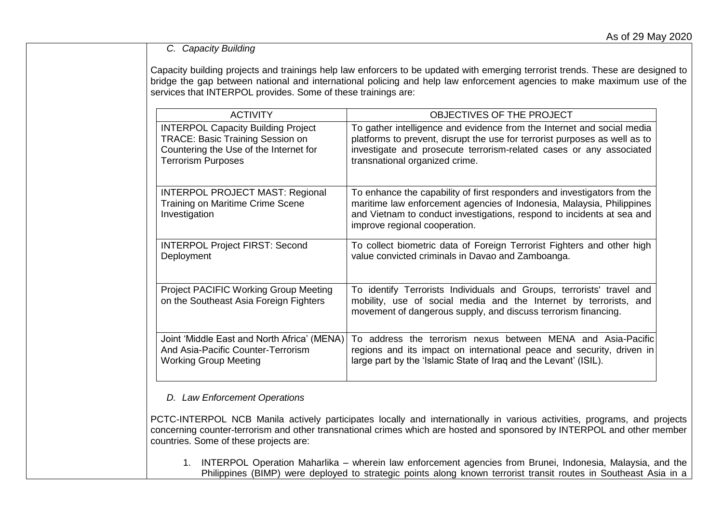# *C. Capacity Building*

Capacity building projects and trainings help law enforcers to be updated with emerging terrorist trends. These are designed to bridge the gap between national and international policing and help law enforcement agencies to make maximum use of the services that INTERPOL provides. Some of these trainings are:

| <b>ACTIVITY</b>                                                                             | OBJECTIVES OF THE PROJECT                                                                                                                                                                                                                                    |
|---------------------------------------------------------------------------------------------|--------------------------------------------------------------------------------------------------------------------------------------------------------------------------------------------------------------------------------------------------------------|
| <b>INTERPOL Capacity Building Project</b>                                                   | To gather intelligence and evidence from the Internet and social media                                                                                                                                                                                       |
| <b>TRACE: Basic Training Session on</b>                                                     | platforms to prevent, disrupt the use for terrorist purposes as well as to                                                                                                                                                                                   |
| Countering the Use of the Internet for                                                      | investigate and prosecute terrorism-related cases or any associated                                                                                                                                                                                          |
| <b>Terrorism Purposes</b>                                                                   | transnational organized crime.                                                                                                                                                                                                                               |
| <b>INTERPOL PROJECT MAST: Regional</b><br>Training on Maritime Crime Scene<br>Investigation | To enhance the capability of first responders and investigators from the<br>maritime law enforcement agencies of Indonesia, Malaysia, Philippines<br>and Vietnam to conduct investigations, respond to incidents at sea and<br>improve regional cooperation. |
| <b>INTERPOL Project FIRST: Second</b>                                                       | To collect biometric data of Foreign Terrorist Fighters and other high                                                                                                                                                                                       |
| Deployment                                                                                  | value convicted criminals in Davao and Zamboanga.                                                                                                                                                                                                            |
| <b>Project PACIFIC Working Group Meeting</b><br>on the Southeast Asia Foreign Fighters      | To identify Terrorists Individuals and Groups, terrorists' travel and<br>mobility, use of social media and the Internet by terrorists, and<br>movement of dangerous supply, and discuss terrorism financing.                                                 |
| Joint 'Middle East and North Africa' (MENA)                                                 | To address the terrorism nexus between MENA and Asia-Pacific                                                                                                                                                                                                 |
| And Asia-Pacific Counter-Terrorism                                                          | regions and its impact on international peace and security, driven in                                                                                                                                                                                        |
| <b>Working Group Meeting</b>                                                                | large part by the 'Islamic State of Iraq and the Levant' (ISIL).                                                                                                                                                                                             |

### *D. Law Enforcement Operations*

PCTC-INTERPOL NCB Manila actively participates locally and internationally in various activities, programs, and projects concerning counter-terrorism and other transnational crimes which are hosted and sponsored by INTERPOL and other member countries. Some of these projects are:

1. INTERPOL Operation Maharlika – wherein law enforcement agencies from Brunei, Indonesia, Malaysia, and the Philippines (BIMP) were deployed to strategic points along known terrorist transit routes in Southeast Asia in a